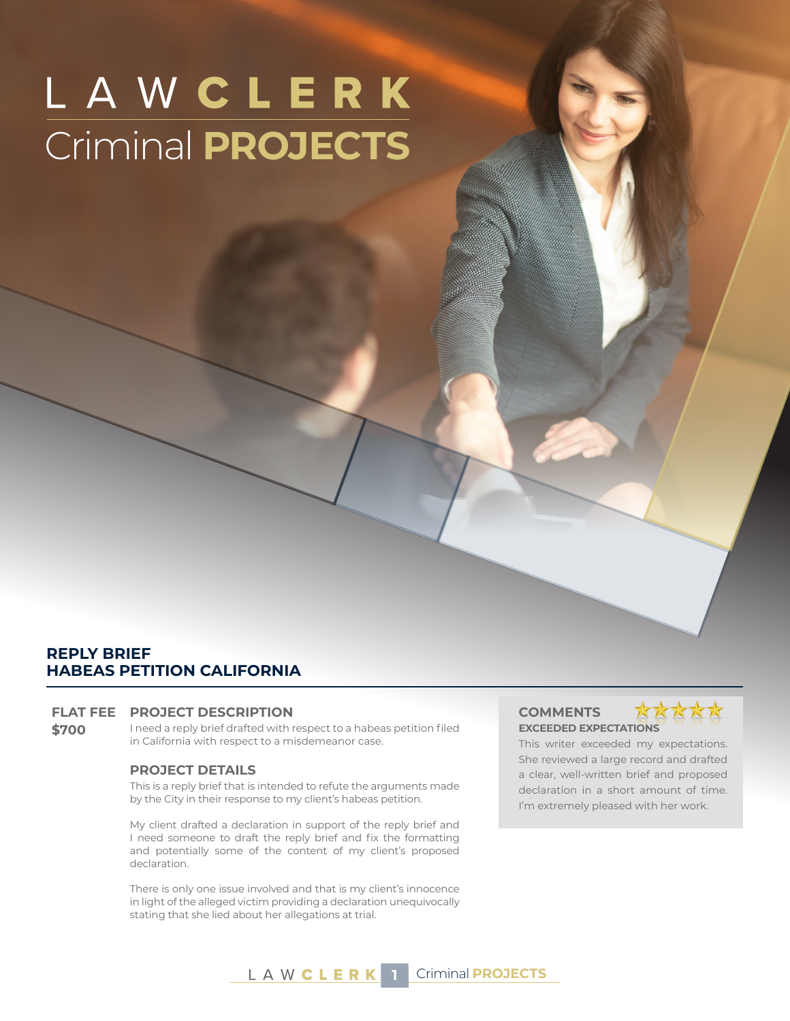# LAWCLERK Criminal **PROJECTS**

#### **REPLY BRIEF HABEAS PETITION CALIFORNIA**

#### **FLAT FEE PROJECT DESCRIPTION COMMENTS**

**\$700** I need a reply brief drafted with respect to a habeas petition filed in California with respect to a misdemeanor case.

#### **PROJECT DETAILS**

This is a reply brief that is intended to refute the arguments made by the City in their response to my client's habeas petition.

My client drafted a declaration in support of the reply brief and I need someone to draft the reply brief and fix the formatting and potentially some of the content of my client's proposed declaration.

There is only one issue involved and that is my client's innocence in light of the alleged victim providing a declaration unequivocally stating that she lied about her allegations at trial.

## **EXCEEDED EXPECTATIONS**



This writer exceeded my expectations. She reviewed a large record and drafted a clear, well-written brief and proposed declaration in a short amount of time. I'm extremely pleased with her work.

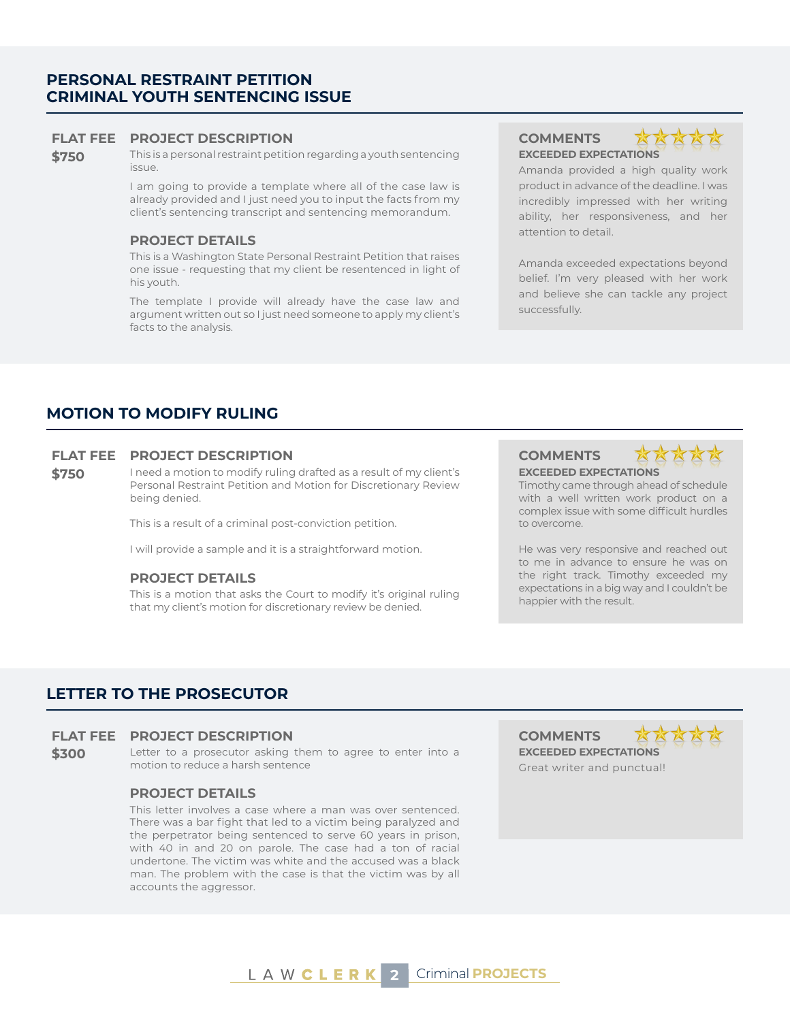#### **PERSONAL RESTRAINT PETITION CRIMINAL YOUTH SENTENCING ISSUE**

#### **FLAT FEE PROJECT DESCRIPTION COMMENTS**

**\$750** This is a personal restraint petition regarding a youth sentencing issue.

> I am going to provide a template where all of the case law is already provided and I just need you to input the facts from my client's sentencing transcript and sentencing memorandum.

#### **PROJECT DETAILS**

This is a Washington State Personal Restraint Petition that raises one issue - requesting that my client be resentenced in light of his youth.

The template I provide will already have the case law and argument written out so I just need someone to apply my client's facts to the analysis.

## **EXCEEDED EXPECTATIONS**



Amanda provided a high quality work product in advance of the deadline. I was incredibly impressed with her writing ability, her responsiveness, and her attention to detail.

Amanda exceeded expectations beyond belief. I'm very pleased with her work and believe she can tackle any project successfully.

### **MOTION TO MODIFY RULING**

#### **FLAT FEE PROJECT DESCRIPTION COMMENTS**

**\$750** I need a motion to modify ruling drafted as a result of my client's Personal Restraint Petition and Motion for Discretionary Review being denied.

This is a result of a criminal post-conviction petition.

I will provide a sample and it is a straightforward motion.

#### **PROJECT DETAILS**

This is a motion that asks the Court to modify it's original ruling that my client's motion for discretionary review be denied.

### **EXCEEDED EXPECTATIONS**



Timothy came through ahead of schedule with a well written work product on a complex issue with some difficult hurdles to overcome.

He was very responsive and reached out to me in advance to ensure he was on the right track. Timothy exceeded my expectations in a big way and I couldn't be happier with the result.

#### **LETTER TO THE PROSECUTOR**

#### **FLAT FEE PROJECT DESCRIPTION COMMENTS**

**\$300** Letter to a prosecutor asking them to agree to enter into a motion to reduce a harsh sentence

#### **PROJECT DETAILS**

This letter involves a case where a man was over sentenced. There was a bar fight that led to a victim being paralyzed and the perpetrator being sentenced to serve 60 years in prison, with 40 in and 20 on parole. The case had a ton of racial undertone. The victim was white and the accused was a black man. The problem with the case is that the victim was by all accounts the aggressor.

**EXCEEDED EXPECTATIONS** Great writer and punctual!

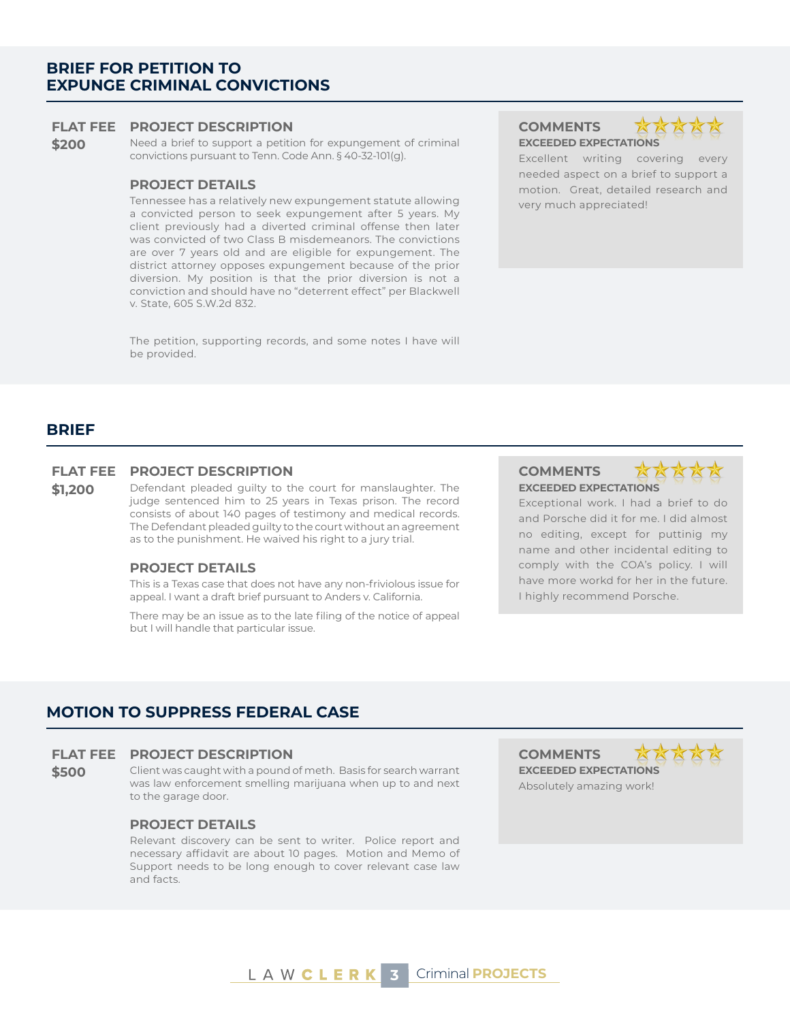#### **BRIEF FOR PETITION TO EXPUNGE CRIMINAL CONVICTIONS**

#### **FLAT FEE PROJECT DESCRIPTION COMMENTS**

**\$200** Need a brief to support a petition for expungement of criminal convictions pursuant to Tenn. Code Ann. § 40-32-101(g).

#### **PROJECT DETAILS**

Tennessee has a relatively new expungement statute allowing a convicted person to seek expungement after 5 years. My client previously had a diverted criminal offense then later was convicted of two Class B misdemeanors. The convictions are over 7 years old and are eligible for expungement. The district attorney opposes expungement because of the prior diversion. My position is that the prior diversion is not a conviction and should have no "deterrent effect" per Blackwell v. State, 605 S.W.2d 832.

The petition, supporting records, and some notes I have will be provided.

### **BRIEF**

#### **FLAT FEE PROJECT DESCRIPTION COMMENTS**

**\$1,200** Defendant pleaded guilty to the court for manslaughter. The judge sentenced him to 25 years in Texas prison. The record consists of about 140 pages of testimony and medical records. The Defendant pleaded guilty to the court without an agreement as to the punishment. He waived his right to a jury trial.

#### **PROJECT DETAILS**

This is a Texas case that does not have any non-friviolous issue for appeal. I want a draft brief pursuant to Anders v. California.

There may be an issue as to the late filing of the notice of appeal but I will handle that particular issue.

**EXCEEDED EXPECTATIONS**



Exceptional work. I had a brief to do and Porsche did it for me. I did almost no editing, except for puttinig my name and other incidental editing to comply with the COA's policy. I will have more workd for her in the future. I highly recommend Porsche.

### **MOTION TO SUPPRESS FEDERAL CASE**

#### **FLAT FEE PROJECT DESCRIPTION COMMENTS**

**\$500** Client was caught with a pound of meth. Basis for search warrant was law enforcement smelling marijuana when up to and next to the garage door.

#### **PROJECT DETAILS**

Relevant discovery can be sent to writer. Police report and necessary affidavit are about 10 pages. Motion and Memo of Support needs to be long enough to cover relevant case law and facts.

**EXCEEDED EXPECTATIONS** Absolutely amazing work!





Excellent writing covering every needed aspect on a brief to support a motion. Great, detailed research and very much appreciated!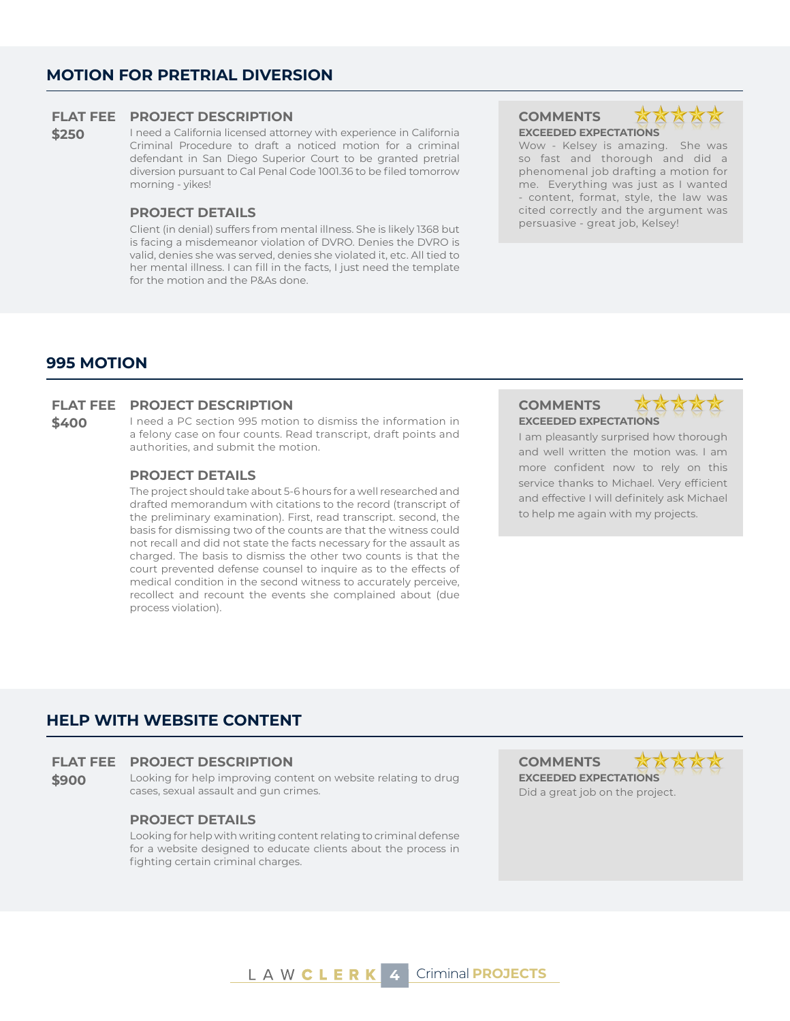#### **FLAT FEE PROJECT DESCRIPTION COMMENTS**

**\$250** I need a California licensed attorney with experience in California Criminal Procedure to draft a noticed motion for a criminal defendant in San Diego Superior Court to be granted pretrial diversion pursuant to Cal Penal Code 1001.36 to be filed tomorrow morning - yikes!

#### **PROJECT DETAILS**

Client (in denial) suffers from mental illness. She is likely 1368 but is facing a misdemeanor violation of DVRO. Denies the DVRO is valid, denies she was served, denies she violated it, etc. All tied to her mental illness. I can fill in the facts, I just need the template for the motion and the P&As done.

**EXCEEDED EXPECTATIONS**



Wow - Kelsey is amazing. She was so fast and thorough and did a phenomenal job drafting a motion for me. Everything was just as I wanted - content, format, style, the law was cited correctly and the argument was persuasive - great job, Kelsey!

#### **995 MOTION**

#### **FLAT FEE PROJECT DESCRIPTION COMMENTS**

#### **\$400** I need a PC section 995 motion to dismiss the information in a felony case on four counts. Read transcript, draft points and authorities, and submit the motion.

#### **PROJECT DETAILS**

The project should take about 5-6 hours for a well researched and drafted memorandum with citations to the record (transcript of the preliminary examination). First, read transcript. second, the basis for dismissing two of the counts are that the witness could not recall and did not state the facts necessary for the assault as charged. The basis to dismiss the other two counts is that the court prevented defense counsel to inquire as to the effects of medical condition in the second witness to accurately perceive, recollect and recount the events she complained about (due process violation).

**EXCEEDED EXPECTATIONS**



I am pleasantly surprised how thorough and well written the motion was. I am more confident now to rely on this service thanks to Michael. Very efficient and effective I will definitely ask Michael to help me again with my projects.

### **HELP WITH WEBSITE CONTENT**

#### **FLAT FEE PROJECT DESCRIPTION COMMENTS**

**\$900** Looking for help improving content on website relating to drug cases, sexual assault and gun crimes.

#### **PROJECT DETAILS**

Looking for help with writing content relating to criminal defense for a website designed to educate clients about the process in fighting certain criminal charges.

XX **EXCEEDED EXPECTATIONS** Did a great job on the project.

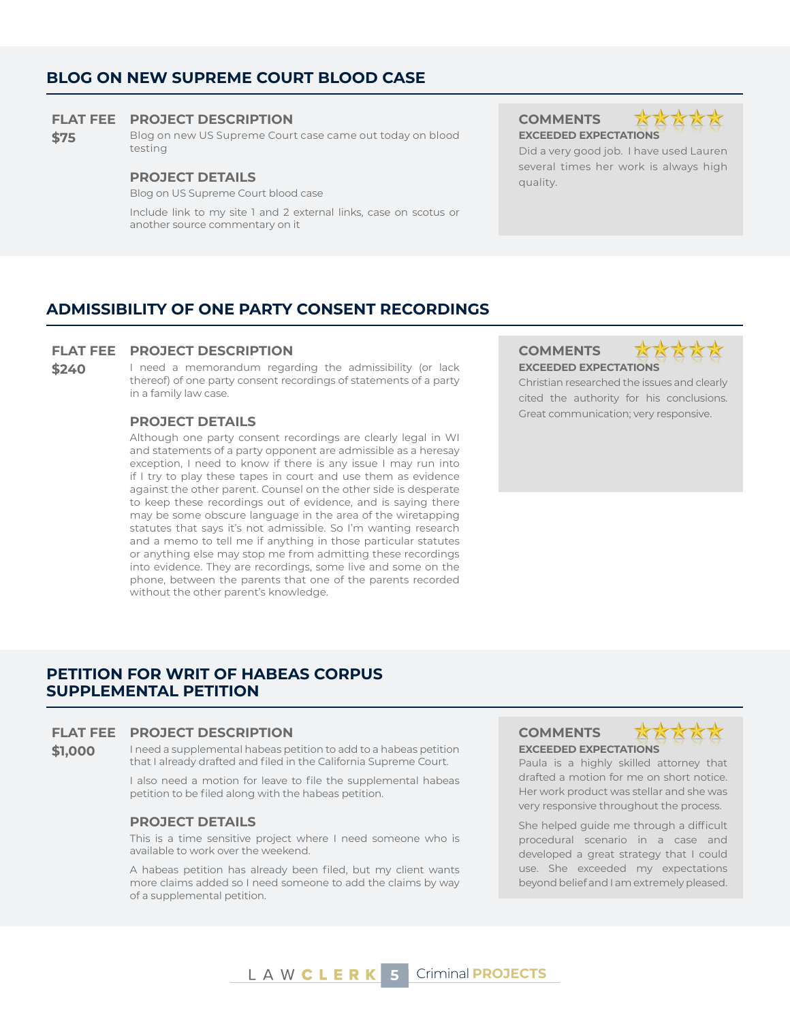### **BLOG ON NEW SUPREME COURT BLOOD CASE**

#### **FLAT FEE PROJECT DESCRIPTION COMMENTS**

**\$75** Blog on new US Supreme Court case came out today on blood testing

#### **PROJECT DETAILS** quality.

Blog on US Supreme Court blood case

Include link to my site 1 and 2 external links, case on scotus or another source commentary on it

## **EXCEEDED EXPECTATIONS**



Did a very good job. I have used Lauren several times her work is always high

#### **ADMISSIBILITY OF ONE PARTY CONSENT RECORDINGS**

#### **FLAT FEE PROJECT DESCRIPTION COMMENTS**

\$240 I need a memorandum regarding the admissibility (or lack thereof) of one party consent recordings of statements of a party in a family law case.

Although one party consent recordings are clearly legal in WI and statements of a party opponent are admissible as a heresay exception, I need to know if there is any issue I may run into if I try to play these tapes in court and use them as evidence against the other parent. Counsel on the other side is desperate to keep these recordings out of evidence, and is saying there may be some obscure language in the area of the wiretapping statutes that says it's not admissible. So I'm wanting research and a memo to tell me if anything in those particular statutes or anything else may stop me from admitting these recordings into evidence. They are recordings, some live and some on the phone, between the parents that one of the parents recorded without the other parent's knowledge.

**EXCEEDED EXPECTATIONS**



Christian researched the issues and clearly cited the authority for his conclusions. Great communication; very responsive. **PROJECT DETAILS**

#### **PETITION FOR WRIT OF HABEAS CORPUS SUPPLEMENTAL PETITION**

#### **FLAT FEE PROJECT DESCRIPTION COMMENTS**

**\$1,000** I need a supplemental habeas petition to add to a habeas petition that I already drafted and filed in the California Supreme Court.

> I also need a motion for leave to file the supplemental habeas petition to be filed along with the habeas petition.

#### **PROJECT DETAILS**

This is a time sensitive project where I need someone who is available to work over the weekend.

A habeas petition has already been filed, but my client wants more claims added so I need someone to add the claims by way of a supplemental petition.

### **EXCEEDED EXPECTATIONS**



Paula is a highly skilled attorney that drafted a motion for me on short notice. Her work product was stellar and she was very responsive throughout the process.

She helped guide me through a difficult procedural scenario in a case and developed a great strategy that I could use. She exceeded my expectations beyond belief and I am extremely pleased.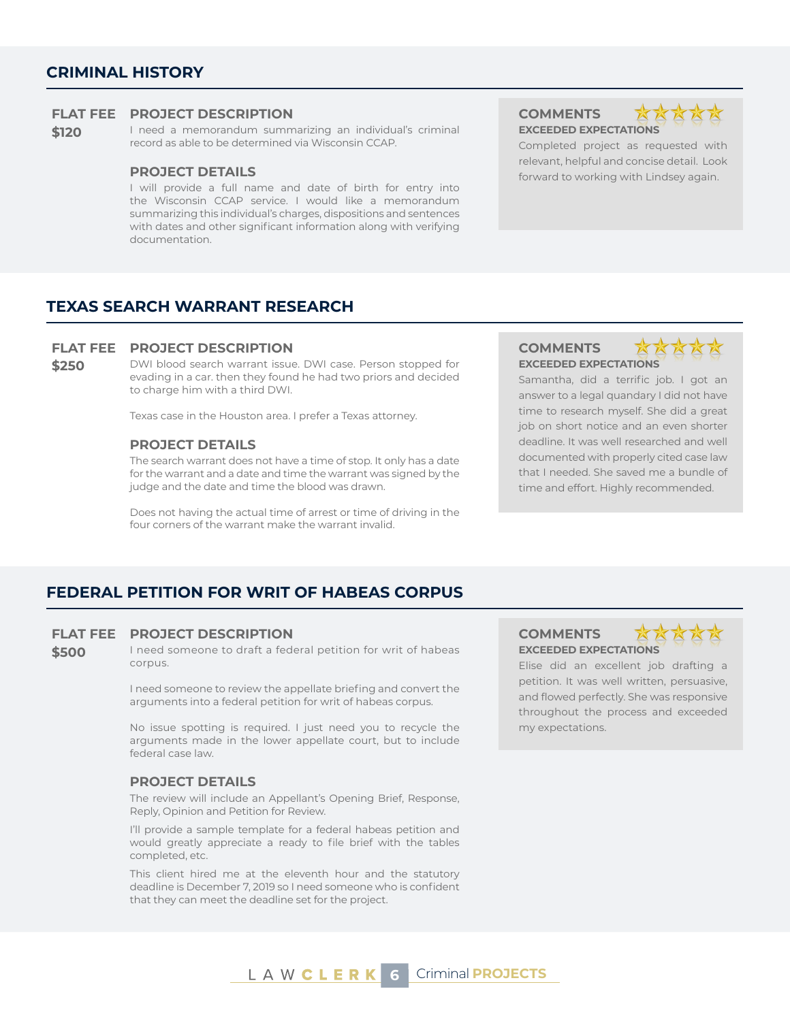#### **CRIMINAL HISTORY**

#### **FLAT FEE PROJECT DESCRIPTION COMMENTS**

**\$120** I need a memorandum summarizing an individual's criminal record as able to be determined via Wisconsin CCAP.

I will provide a full name and date of birth for entry into the Wisconsin CCAP service. I would like a memorandum summarizing this individual's charges, dispositions and sentences with dates and other significant information along with verifying documentation.

**EXCEEDED EXPECTATIONS**



Completed project as requested with relevant, helpful and concise detail. Look **PROJECT DETAILS EXECUTE: PROJECT DETAILS** *CONDUCT DETAILS CONDUCT DETAILS CONDUCT DETAILS CONDUCT DETAILS CONDUCT CONDUCT CONDUCT CONDUCT CONDUCT CONDUCT CONDUCT CONDUCT* 

#### **TEXAS SEARCH WARRANT RESEARCH**

#### **FLAT FEE PROJECT DESCRIPTION COMMENTS**

**\$250** DWI blood search warrant issue. DWI case. Person stopped for evading in a car. then they found he had two priors and decided to charge him with a third DWI.

Texas case in the Houston area. I prefer a Texas attorney.

#### **PROJECT DETAILS**

The search warrant does not have a time of stop. It only has a date for the warrant and a date and time the warrant was signed by the judge and the date and time the blood was drawn.

Does not having the actual time of arrest or time of driving in the four corners of the warrant make the warrant invalid.

## **EXCEEDED EXPECTATIONS**

Samantha, did a terrific job. I got an answer to a legal quandary I did not have time to research myself. She did a great job on short notice and an even shorter deadline. It was well researched and well documented with properly cited case law that I needed. She saved me a bundle of time and effort. Highly recommended.

#### **FEDERAL PETITION FOR WRIT OF HABEAS CORPUS**

#### **FLAT FEE PROJECT DESCRIPTION COMMENTS**

**\$500** I need someone to draft a federal petition for writ of habeas corpus.

> I need someone to review the appellate briefing and convert the arguments into a federal petition for writ of habeas corpus.

> No issue spotting is required. I just need you to recycle the arguments made in the lower appellate court, but to include federal case law.

#### **PROJECT DETAILS**

The review will include an Appellant's Opening Brief, Response, Reply, Opinion and Petition for Review.

I'll provide a sample template for a federal habeas petition and would greatly appreciate a ready to file brief with the tables completed, etc.

This client hired me at the eleventh hour and the statutory deadline is December 7, 2019 so I need someone who is confident that they can meet the deadline set for the project.

### **EXCEEDED EXPECTATIONS**

Elise did an excellent job drafting a petition. It was well written, persuasive, and flowed perfectly. She was responsive throughout the process and exceeded my expectations.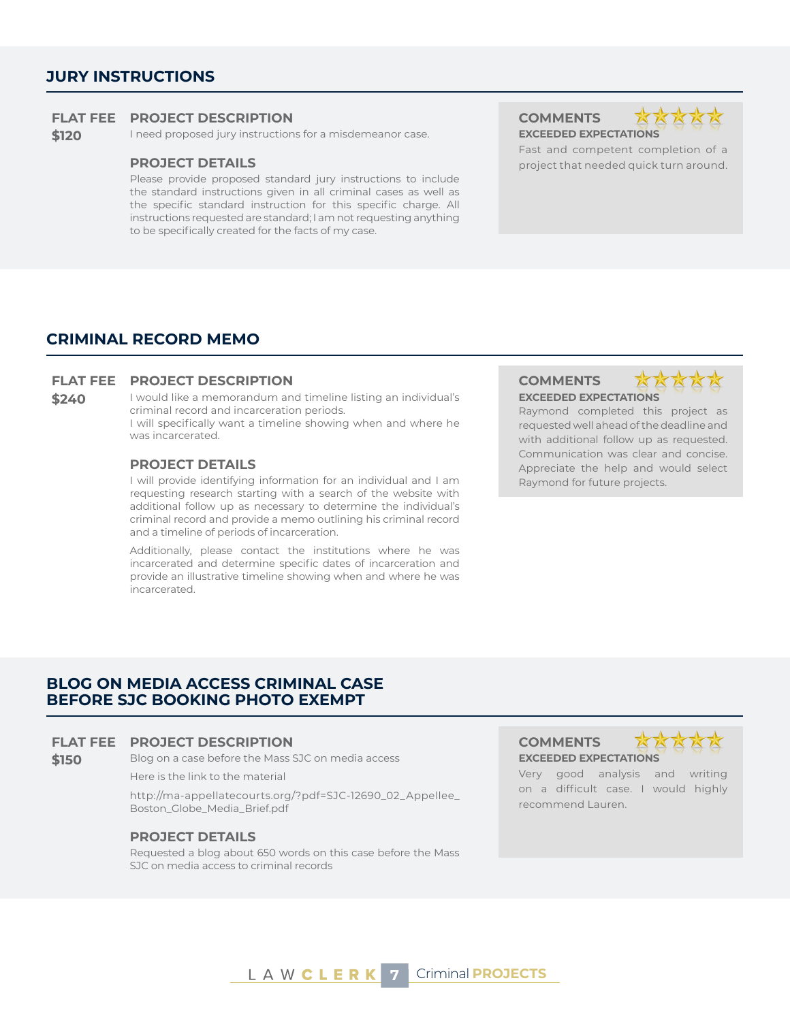#### **JURY INSTRUCTIONS**

#### **FLAT FEE PROJECT DESCRIPTION COMMENTS**

**\$120** I need proposed jury instructions for a misdemeanor case. **EXCEEDED EXPECTATIONS** 

Please provide proposed standard jury instructions to include the standard instructions given in all criminal cases as well as the specific standard instruction for this specific charge. All instructions requested are standard; I am not requesting anything to be specifically created for the facts of my case.



Fast and competent completion of a **PROJECT DETAILS project that needed quick turn around.** 

### **CRIMINAL RECORD MEMO**

#### **FLAT FEE PROJECT DESCRIPTION COMMENTS**

**\$240** I would like a memorandum and timeline listing an individual's criminal record and incarceration periods. I will specifically want a timeline showing when and where he was incarcerated.

#### **PROJECT DETAILS**

I will provide identifying information for an individual and I am requesting research starting with a search of the website with additional follow up as necessary to determine the individual's criminal record and provide a memo outlining his criminal record and a timeline of periods of incarceration.

Additionally, please contact the institutions where he was incarcerated and determine specific dates of incarceration and provide an illustrative timeline showing when and where he was incarcerated.

## **EXCEEDED EXPECTATIONS**



Raymond completed this project as requested well ahead of the deadline and with additional follow up as requested. Communication was clear and concise. Appreciate the help and would select Raymond for future projects.

#### **BLOG ON MEDIA ACCESS CRIMINAL CASE BEFORE SJC BOOKING PHOTO EXEMPT**

#### **FLAT FEE PROJECT DESCRIPTION COMMENTS**

**\$150** Blog on a case before the Mass SJC on media access

Here is the link to the material

http://ma-appellatecourts.org/?pdf=SJC-12690\_02\_Appellee\_ Boston\_Globe\_Media\_Brief.pdf

#### **PROJECT DETAILS**

Requested a blog about 650 words on this case before the Mass SJC on media access to criminal records





Very good analysis and writing on a difficult case. I would highly recommend Lauren.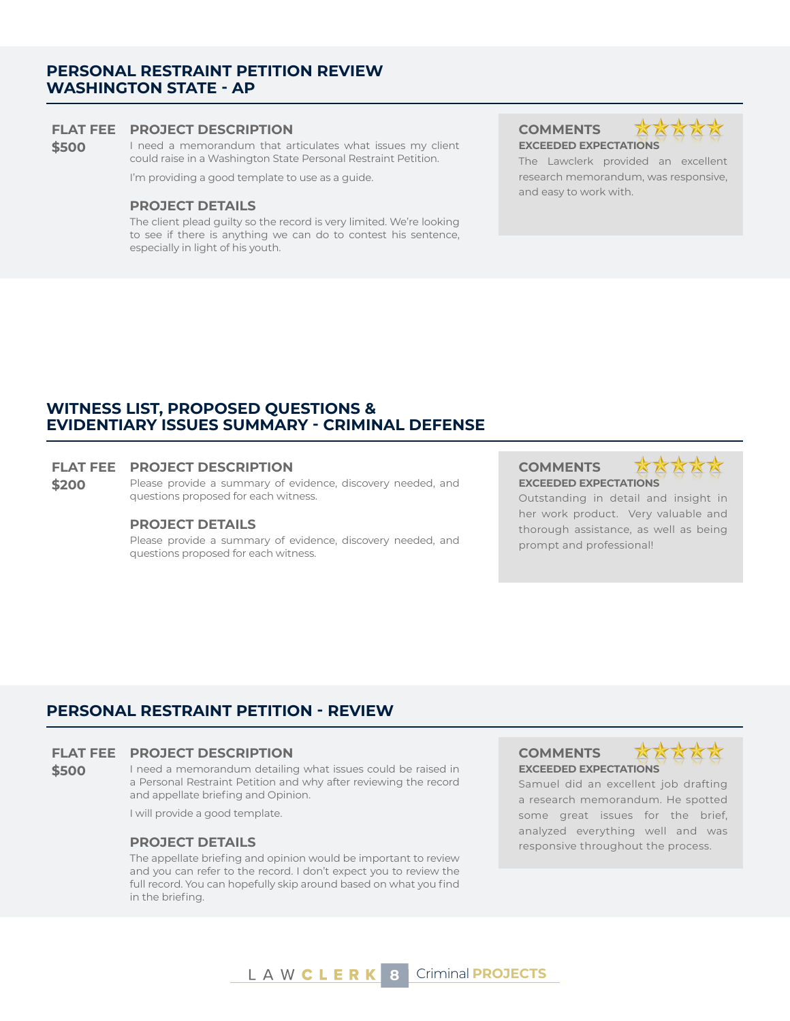### **PERSONAL RESTRAINT PETITION REVIEW WASHINGTON STATE - AP**

#### **FLAT FEE PROJECT DESCRIPTION COMMENTS**

**\$500** I need a memorandum that articulates what issues my client could raise in a Washington State Personal Restraint Petition.

I'm providing a good template to use as a quide.

#### **PROJECT DETAILS**

The client plead guilty so the record is very limited. We're looking to see if there is anything we can do to contest his sentence, especially in light of his youth.

**EXCEEDED EXPECTATIONS**



The Lawclerk provided an excellent research memorandum, was responsive, and easy to work with.

#### **WITNESS LIST, PROPOSED QUESTIONS & EVIDENTIARY ISSUES SUMMARY - CRIMINAL DEFENSE**

#### **FLAT FEE PROJECT DESCRIPTION COMMENTS**

**\$200** Please provide a summary of evidence, discovery needed, and questions proposed for each witness.

#### **PROJECT DETAILS**

Please provide a summary of evidence, discovery needed, and questions proposed for each witness.

## **EXCEEDED EXPECTATIONS**



Outstanding in detail and insight in her work product. Very valuable and thorough assistance, as well as being prompt and professional!

### **PERSONAL RESTRAINT PETITION - REVIEW**

#### **FLAT FEE PROJECT DESCRIPTION COMMENTS**

**\$500** I need a memorandum detailing what issues could be raised in a Personal Restraint Petition and why after reviewing the record and appellate briefing and Opinion.

I will provide a good template.

The appellate briefing and opinion would be important to review and you can refer to the record. I don't expect you to review the full record. You can hopefully skip around based on what you find in the briefing.

## **EXCEEDED EXPECTATIONS**



Samuel did an excellent job drafting a research memorandum. He spotted some great issues for the brief, analyzed everything well and was **PROJECT DETAILS responsive throughout the process.** 

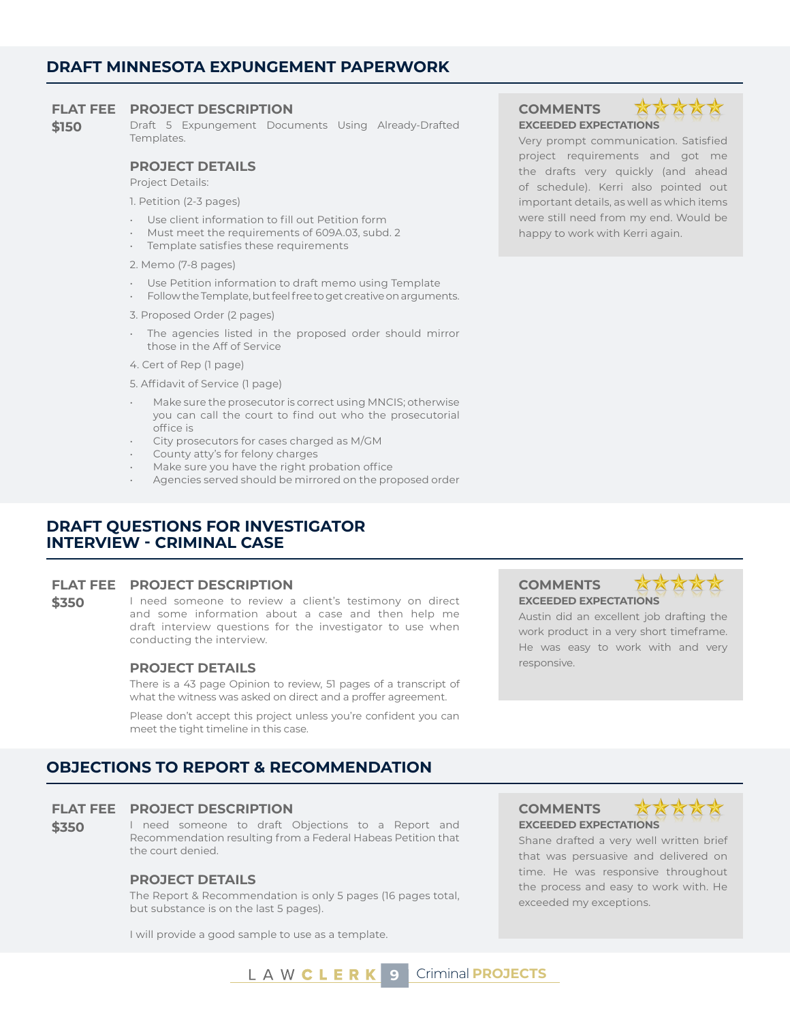### **DRAFT MINNESOTA EXPUNGEMENT PAPERWORK**

#### **FLAT FEE PROJECT DESCRIPTION COMMENTS**

**\$150** Draft 5 Expungement Documents Using Already-Drafted Templates.

#### **PROJECT DETAILS**

Project Details:

1. Petition (2-3 pages)

- Use client information to fill out Petition form
- Must meet the requirements of 609A.03, subd. 2
- Template satisfies these requirements
- 2. Memo (7-8 pages)
- Use Petition information to draft memo using Template
- Follow the Template, but feel free to get creative on arguments.
- 3. Proposed Order (2 pages)
- The agencies listed in the proposed order should mirror those in the Aff of Service
- 4. Cert of Rep (1 page)
- 5. Affidavit of Service (1 page)
- Make sure the prosecutor is correct using MNCIS; otherwise you can call the court to find out who the prosecutorial office is
- City prosecutors for cases charged as M/GM
- County atty's for felony charges
- Make sure you have the right probation office
- Agencies served should be mirrored on the proposed order

#### **DRAFT QUESTIONS FOR INVESTIGATOR INTERVIEW - CRIMINAL CASE**

#### **FLAT FEE PROJECT DESCRIPTION COMMENTS**

\$350 I need someone to review a client's testimony on direct and some information about a case and then help me draft interview questions for the investigator to use when conducting the interview.

### responsive. **PROJECT DETAILS**

There is a 43 page Opinion to review, 51 pages of a transcript of what the witness was asked on direct and a proffer agreement.

Please don't accept this project unless you're confident you can meet the tight timeline in this case.

#### **OBJECTIONS TO REPORT & RECOMMENDATION**

#### **FLAT FEE PROJECT DESCRIPTION COMMENTS**

**\$350** I need someone to draft Objections to a Report and Recommendation resulting from a Federal Habeas Petition that the court denied.

#### **PROJECT DETAILS**

The Report & Recommendation is only 5 pages (16 pages total, but substance is on the last 5 pages).

I will provide a good sample to use as a template.

## **EXCEEDED EXPECTATIONS**



Very prompt communication. Satisfied project requirements and got me the drafts very quickly (and ahead of schedule). Kerri also pointed out important details, as well as which items were still need from my end. Would be happy to work with Kerri again.

### **EXCEEDED EXPECTATIONS**



Austin did an excellent job drafting the work product in a very short timeframe. He was easy to work with and very

### **EXCEEDED EXPECTATIONS**



Shane drafted a very well written brief that was persuasive and delivered on time. He was responsive throughout the process and easy to work with. He exceeded my exceptions.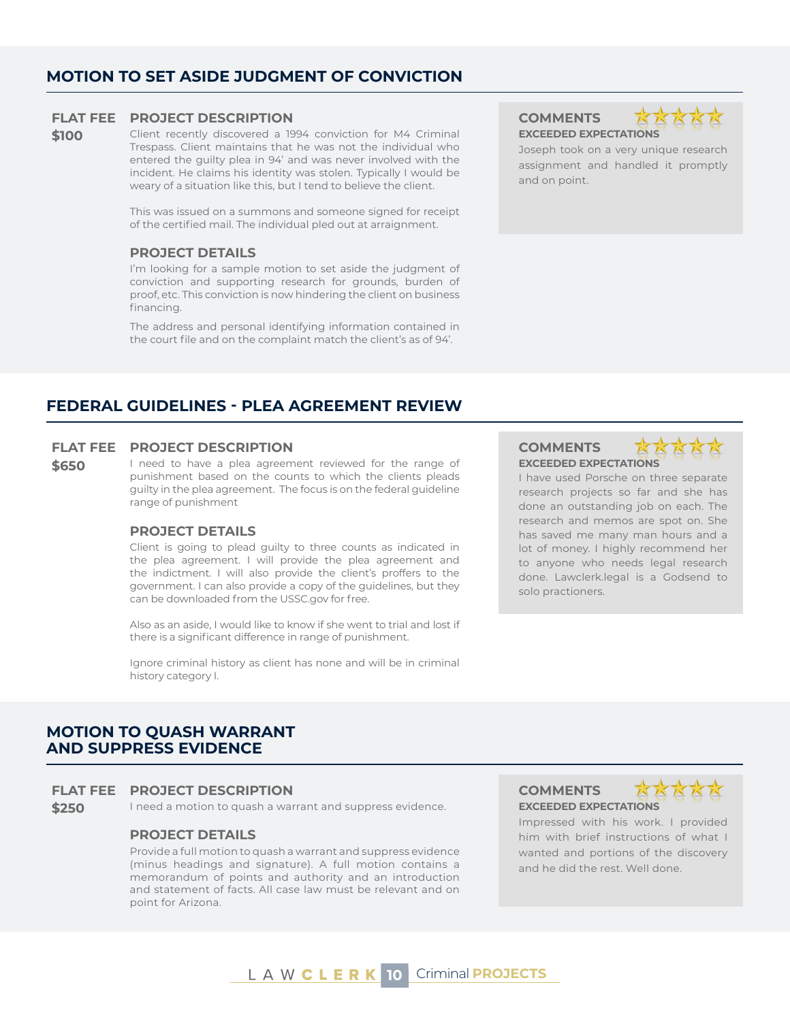#### **MOTION TO SET ASIDE JUDGMENT OF CONVICTION**

#### **FLAT FEE PROJECT DESCRIPTION COMMENTS**

**\$100** Client recently discovered a 1994 conviction for M4 Criminal Trespass. Client maintains that he was not the individual who entered the guilty plea in 94' and was never involved with the incident. He claims his identity was stolen. Typically I would be

weary of a situation like this, but I tend to believe the client.

This was issued on a summons and someone signed for receipt of the certified mail. The individual pled out at arraignment.

#### **PROJECT DETAILS**

I'm looking for a sample motion to set aside the judgment of conviction and supporting research for grounds, burden of proof, etc. This conviction is now hindering the client on business financing.

The address and personal identifying information contained in the court file and on the complaint match the client's as of 94'.

#### **FEDERAL GUIDELINES - PLEA AGREEMENT REVIEW**

#### **FLAT FEE PROJECT DESCRIPTION COMMENTS**

**\$650** I need to have a plea agreement reviewed for the range of punishment based on the counts to which the clients pleads guilty in the plea agreement. The focus is on the federal guideline range of punishment

#### **PROJECT DETAILS**

Client is going to plead guilty to three counts as indicated in the plea agreement. I will provide the plea agreement and the indictment. I will also provide the client's proffers to the government. I can also provide a copy of the guidelines, but they can be downloaded from the USSC.gov for free.

Also as an aside, I would like to know if she went to trial and lost if there is a significant difference in range of punishment.

Ignore criminal history as client has none and will be in criminal history category I.

**EXCEEDED EXPECTATIONS**



Joseph took on a very unique research assignment and handled it promptly and on point.

### **EXCEEDED EXPECTATIONS**



I have used Porsche on three separate research projects so far and she has done an outstanding job on each. The research and memos are spot on. She has saved me many man hours and a lot of money. I highly recommend her to anyone who needs legal research done. Lawclerk.legal is a Godsend to solo practioners.

#### **MOTION TO QUASH WARRANT AND SUPPRESS EVIDENCE**

#### **FLAT FEE PROJECT DESCRIPTION COMMENTS**

**\$250** I need a motion to quash a warrant and suppress evidence. **EXCEEDED EXPECTATIONS** 

#### **PROJECT DETAILS**

Provide a full motion to quash a warrant and suppress evidence (minus headings and signature). A full motion contains a memorandum of points and authority and an introduction and statement of facts. All case law must be relevant and on point for Arizona.



Impressed with his work. I provided him with brief instructions of what I wanted and portions of the discovery and he did the rest. Well done.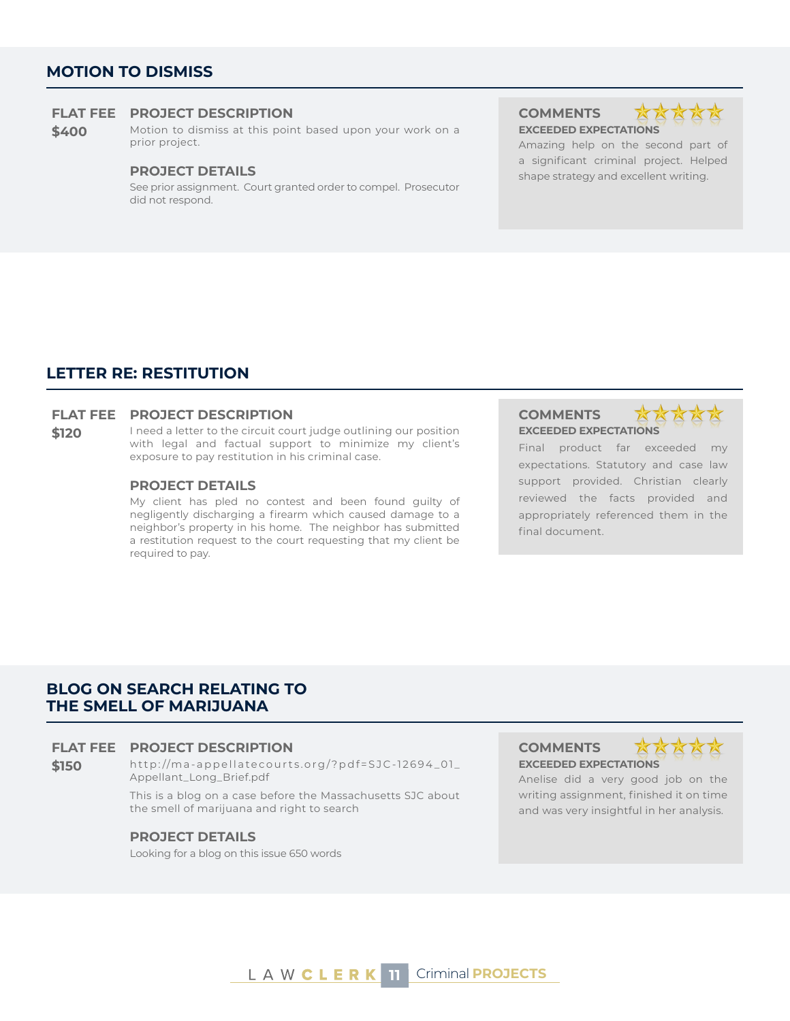#### **MOTION TO DISMISS**

#### **FLAT FEE PROJECT DESCRIPTION COMMENTS**

**\$400** Motion to dismiss at this point based upon your work on a prior project.

See prior assignment. Court granted order to compel. Prosecutor did not respond.

**EXCEEDED EXPECTATIONS**



Amazing help on the second part of a significant criminal project. Helped **PROJECT DETAILS** Shape strategy and excellent writing.

### **LETTER RE: RESTITUTION**

#### **FLAT FEE PROJECT DESCRIPTION COMMENTS**

**\$120** I need a letter to the circuit court judge outlining our position with legal and factual support to minimize my client's exposure to pay restitution in his criminal case.

#### **PROJECT DETAILS**

My client has pled no contest and been found guilty of negligently discharging a firearm which caused damage to a neighbor's property in his home. The neighbor has submitted a restitution request to the court requesting that my client be required to pay.

**EXCEEDED EXPECTATIONS**



Final product far exceeded my expectations. Statutory and case law support provided. Christian clearly reviewed the facts provided and appropriately referenced them in the final document.

#### **BLOG ON SEARCH RELATING TO THE SMELL OF MARIJUANA**

#### **FLAT FEE PROJECT DESCRIPTION COMMENTS**

**\$150** http://ma-appellatecourts.org/?pdf=SJC-12694\_01\_ Appellant\_Long\_Brief.pdf

This is a blog on a case before the Massachusetts SJC about the smell of marijuana and right to search

#### **PROJECT DETAILS**

Looking for a blog on this issue 650 words

**EXCEEDED EXPECTATIONS**



Anelise did a very good job on the writing assignment, finished it on time and was very insightful in her analysis.